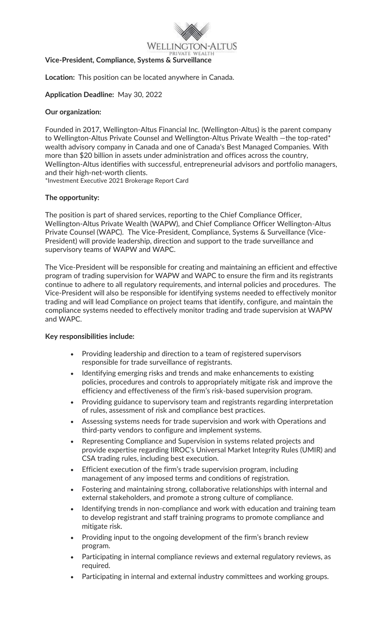

**Vice-President, Compliance, Systems & Surveillance**

**Location:** This position can be located anywhere in Canada.

#### **Application Deadline:** May 30, 2022

#### **Our organization:**

Founded in 2017, Wellington-Altus Financial Inc. (Wellington-Altus) is the parent company to Wellington-Altus Private Counsel and Wellington-Altus Private Wealth - the top-rated\* wealth advisory company in Canada and one of Canada's Best Managed Companies. With more than \$20 billion in assets under administration and offices across the country, Wellington-Altus identifies with successful, entrepreneurial advisors and portfolio managers, and their high-net-worth clients.

\*Investment Executive 2021 Brokerage Report Card

## **The opportunity:**

The position is part of shared services, reporting to the Chief Compliance Officer, Wellington-Altus Private Wealth (WAPW), and Chief Compliance Officer Wellington-Altus Private Counsel (WAPC). The Vice-President, Compliance, Systems & Surveillance (Vice-President) will provide leadership, direction and support to the trade surveillance and supervisory teams of WAPW and WAPC.

The Vice-President will be responsible for creating and maintaining an efficient and effective program of trading supervision for WAPW and WAPC to ensure the firm and its registrants continue to adhere to all regulatory requirements, and internal policies and procedures. The Vice-President will also be responsible for identifying systems needed to effectively monitor trading and will lead Compliance on project teams that identify, configure, and maintain the compliance systems needed to effectively monitor trading and trade supervision at WAPW and WAPC.

#### **Key responsibilities include:**

- Providing leadership and direction to a team of registered supervisors responsible for trade surveillance of registrants.
- Identifying emerging risks and trends and make enhancements to existing policies, procedures and controls to appropriately mitigate risk and improve the efficiency and effectiveness of the firm's risk-based supervision program.
- Providing guidance to supervisory team and registrants regarding interpretation of rules, assessment of risk and compliance best practices.
- Assessing systems needs for trade supervision and work with Operations and third-party vendors to configure and implement systems.
- Representing Compliance and Supervision in systems related projects and provide expertise regarding IIROC's Universal Market Integrity Rules (UMIR) and CSA trading rules, including best execution.
- Efficient execution of the firm's trade supervision program, including management of any imposed terms and conditions of registration.
- Fostering and maintaining strong, collaborative relationships with internal and external stakeholders, and promote a strong culture of compliance.
- Identifying trends in non-compliance and work with education and training team to develop registrant and staff training programs to promote compliance and mitigate risk.
- Providing input to the ongoing development of the firm's branch review program.
- Participating in internal compliance reviews and external regulatory reviews, as required.
- Participating in internal and external industry committees and working groups.